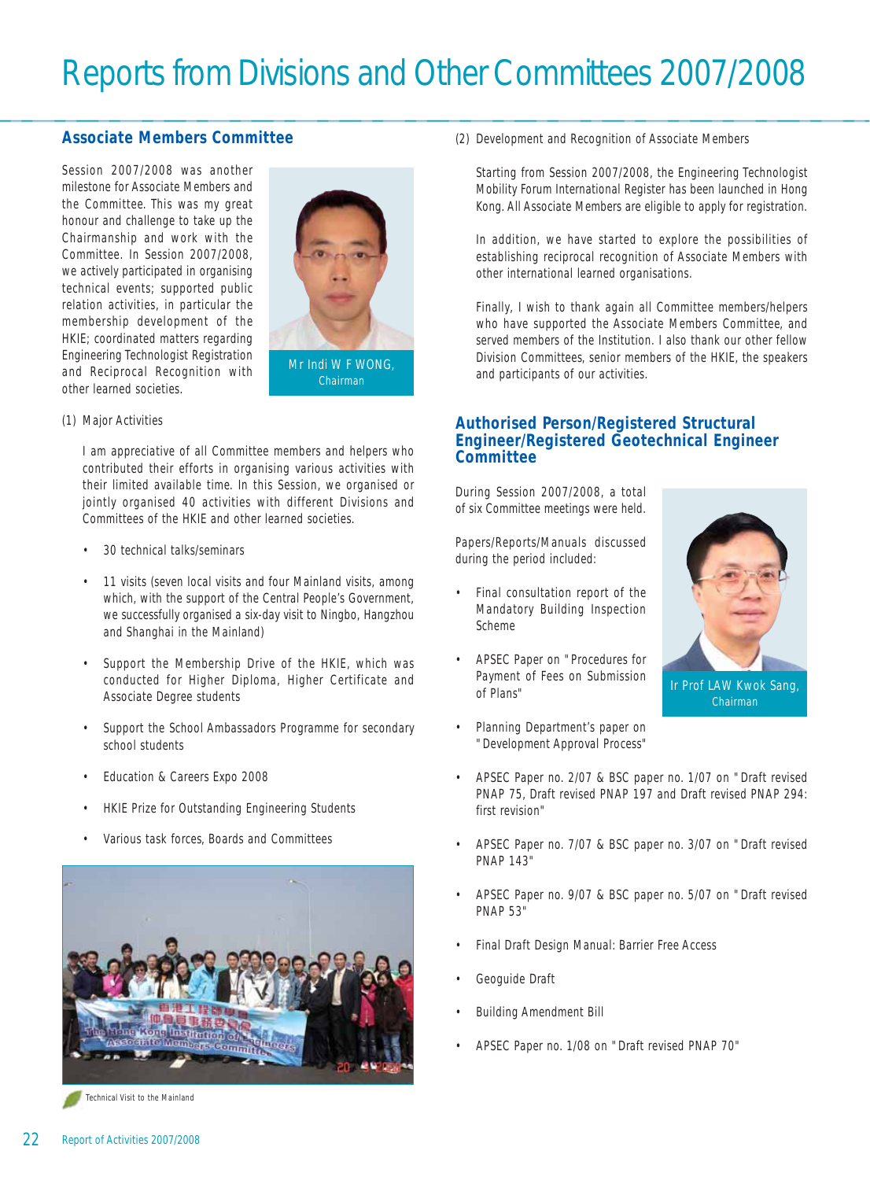### **Associate Members Committee**

Session 2007/2008 was another milestone for Associate Members and the Committee. This was my great honour and challenge to take up the Chairmanship and work with the Committee. In Session 2007/2008, we actively participated in organising technical events; supported public relation activities, in particular the membership development of the HKIE; coordinated matters regarding Engineering Technologist Registration and Reciprocal Recognition with other learned societies.



(1) Major Activities

I am appreciative of all Committee members and helpers who contributed their efforts in organising various activities with their limited available time. In this Session, we organised or jointly organised 40 activities with different Divisions and Committees of the HKIE and other learned societies.

- 30 technical talks/seminars
- 11 visits (seven local visits and four Mainland visits, among which, with the support of the Central People's Government, we successfully organised a six-day visit to Ningbo, Hangzhou and Shanghai in the Mainland)
- Support the Membership Drive of the HKIE, which was conducted for Higher Diploma, Higher Certificate and Associate Degree students
- Support the School Ambassadors Programme for secondary school students
- Education & Careers Expo 2008
- HKIE Prize for Outstanding Engineering Students
- Various task forces, Boards and Committees



Technical Visit to the Mainland

(2) Development and Recognition of Associate Members

Starting from Session 2007/2008, the Engineering Technologist Mobility Forum International Register has been launched in Hong Kong. All Associate Members are eligible to apply for registration.

In addition, we have started to explore the possibilities of establishing reciprocal recognition of Associate Members with other international learned organisations.

Finally, I wish to thank again all Committee members/helpers who have supported the Associate Members Committee, and served members of the Institution. I also thank our other fellow Division Committees, senior members of the HKIE, the speakers and participants of our activities.

#### **Authorised Person/Registered Structural Engineer/Registered Geotechnical Engineer Committee**

During Session 2007/2008, a total of six Committee meetings were held.

Papers/Reports/Manuals discussed during the period included:

- Final consultation report of the Mandatory Building Inspection Scheme
- APSEC Paper on "Procedures for Payment of Fees on Submission of Plans"
- Planning Department's paper on "Development Approval Process"



- APSEC Paper no. 2/07 & BSC paper no. 1/07 on "Draft revised PNAP 75, Draft revised PNAP 197 and Draft revised PNAP 294: first revision"
- APSEC Paper no. 7/07 & BSC paper no. 3/07 on "Draft revised PNAP 143"
- APSEC Paper no. 9/07 & BSC paper no. 5/07 on "Draft revised PNAP 53"
- Final Draft Design Manual: Barrier Free Access
- Geoguide Draft
- Building Amendment Bill
- APSEC Paper no. 1/08 on "Draft revised PNAP 70"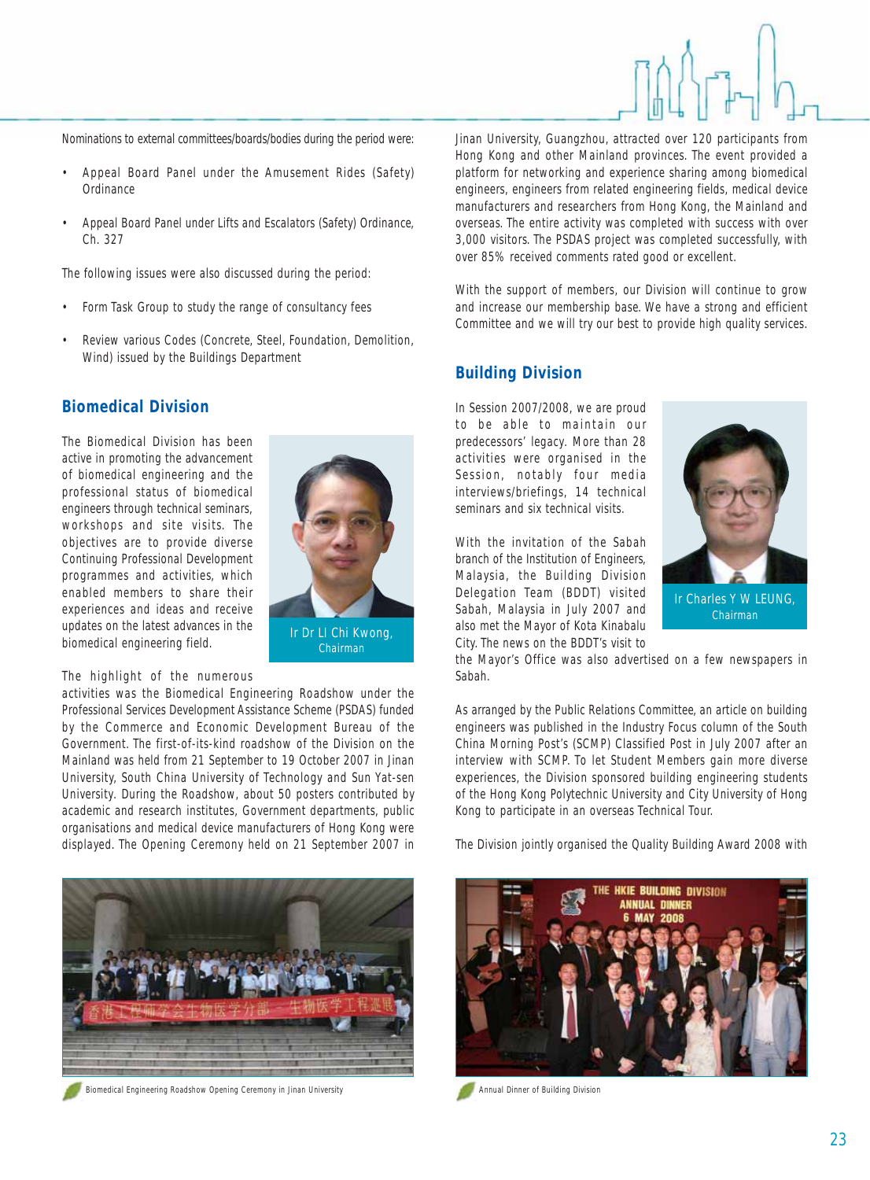Nominations to external committees/boards/bodies during the period were:

- Appeal Board Panel under the Amusement Rides (Safety) Ordinance
- Appeal Board Panel under Lifts and Escalators (Safety) Ordinance, Ch. 327

The following issues were also discussed during the period:

- Form Task Group to study the range of consultancy fees
- Review various Codes (Concrete, Steel, Foundation, Demolition, Wind) issued by the Buildings Department

### **Biomedical Division**

The Biomedical Division has been active in promoting the advancement of biomedical engineering and the professional status of biomedical engineers through technical seminars, workshops and site visits. The objectives are to provide diverse Continuing Professional Development programmes and activities, which enabled members to share their experiences and ideas and receive updates on the latest advances in the biomedical engineering field.



The highlight of the numerous

activities was the Biomedical Engineering Roadshow under the Professional Services Development Assistance Scheme (PSDAS) funded by the Commerce and Economic Development Bureau of the Government. The first-of-its-kind roadshow of the Division on the Mainland was held from 21 September to 19 October 2007 in Jinan University, South China University of Technology and Sun Yat-sen University. During the Roadshow, about 50 posters contributed by academic and research institutes, Government departments, public organisations and medical device manufacturers of Hong Kong were displayed. The Opening Ceremony held on 21 September 2007 in



Biomedical Engineering Roadshow Opening Ceremony in Jinan University Annual Dinner of Building Division

Jinan University, Guangzhou, attracted over 120 participants from Hong Kong and other Mainland provinces. The event provided a platform for networking and experience sharing among biomedical engineers, engineers from related engineering fields, medical device manufacturers and researchers from Hong Kong, the Mainland and overseas. The entire activity was completed with success with over 3,000 visitors. The PSDAS project was completed successfully, with over 85% received comments rated good or excellent.

With the support of members, our Division will continue to grow and increase our membership base. We have a strong and efficient Committee and we will try our best to provide high quality services.

### **Building Division**

In Session 2007/2008, we are proud to be able to maintain our predecessors' legacy. More than 28 activities were organised in the Session, notably four media interviews/briefings, 14 technical seminars and six technical visits.

With the invitation of the Sabah branch of the Institution of Engineers, Malaysia, the Building Division Delegation Team (BDDT) visited Sabah, Malaysia in July 2007 and also met the Mayor of Kota Kinabalu City. The news on the BDDT's visit to



the Mayor's Office was also advertised on a few newspapers in Sabah.

As arranged by the Public Relations Committee, an article on building engineers was published in the Industry Focus column of the South China Morning Post's (SCMP) Classified Post in July 2007 after an interview with SCMP. To let Student Members gain more diverse experiences, the Division sponsored building engineering students of the Hong Kong Polytechnic University and City University of Hong Kong to participate in an overseas Technical Tour.

The Division jointly organised the Quality Building Award 2008 with

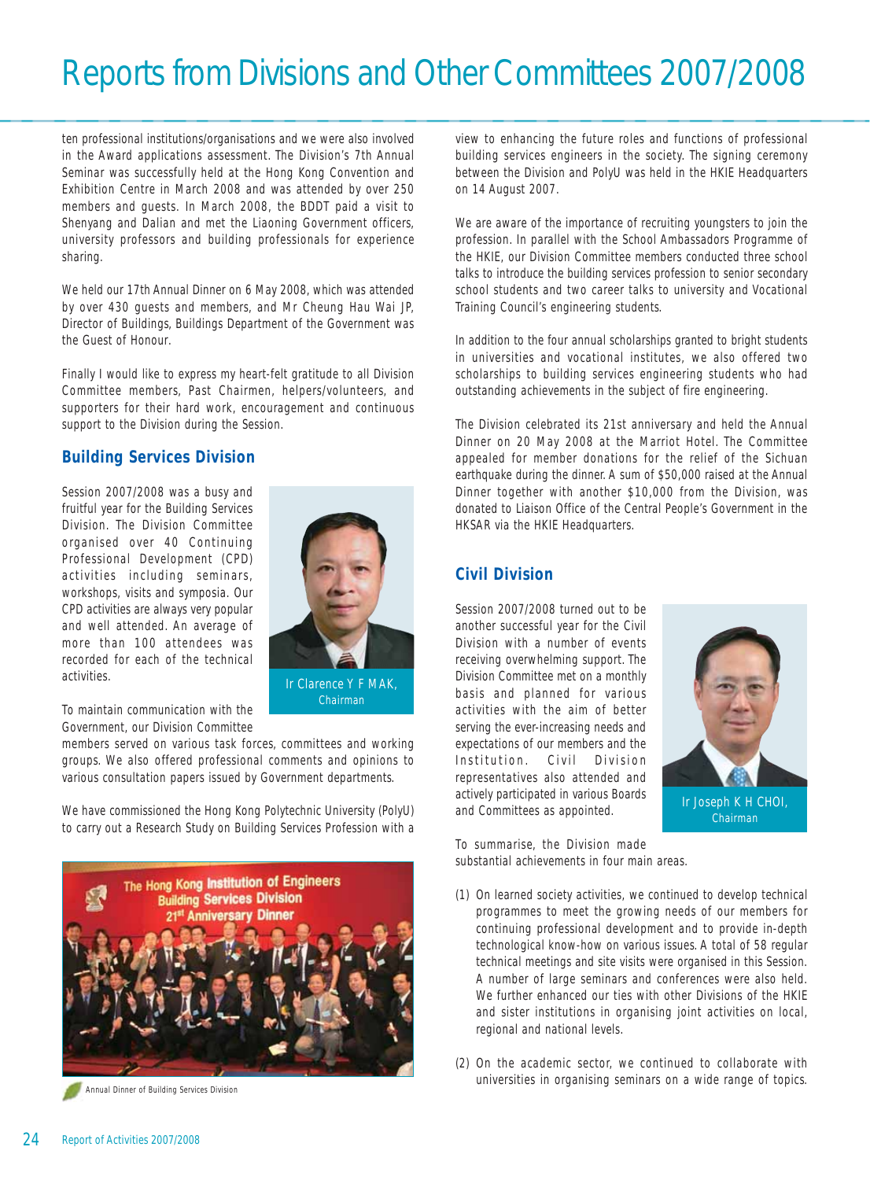ten professional institutions/organisations and we were also involved in the Award applications assessment. The Division's 7th Annual Seminar was successfully held at the Hong Kong Convention and Exhibition Centre in March 2008 and was attended by over 250 members and guests. In March 2008, the BDDT paid a visit to Shenyang and Dalian and met the Liaoning Government officers, university professors and building professionals for experience sharing.

We held our 17th Annual Dinner on 6 May 2008, which was attended by over 430 guests and members, and Mr Cheung Hau Wai JP, Director of Buildings, Buildings Department of the Government was the Guest of Honour.

Finally I would like to express my heart-felt gratitude to all Division Committee members, Past Chairmen, helpers/volunteers, and supporters for their hard work, encouragement and continuous support to the Division during the Session.

## **Building Services Division**

Session 2007/2008 was a busy and fruitful year for the Building Services Division. The Division Committee organised over 40 Continuing Professional Development (CPD) activities including seminars, workshops, visits and symposia. Our CPD activities are always very popular and well attended. An average of more than 100 attendees was recorded for each of the technical activities.



Ir Clarence Y F MAK, Chairman

To maintain communication with the Government, our Division Committee

members served on various task forces, committees and working groups. We also offered professional comments and opinions to various consultation papers issued by Government departments.

We have commissioned the Hong Kong Polytechnic University (PolyU) to carry out a Research Study on Building Services Profession with a



view to enhancing the future roles and functions of professional building services engineers in the society. The signing ceremony between the Division and PolyU was held in the HKIE Headquarters on 14 August 2007.

We are aware of the importance of recruiting youngsters to join the profession. In parallel with the School Ambassadors Programme of the HKIE, our Division Committee members conducted three school talks to introduce the building services profession to senior secondary school students and two career talks to university and Vocational Training Council's engineering students.

In addition to the four annual scholarships granted to bright students in universities and vocational institutes, we also offered two scholarships to building services engineering students who had outstanding achievements in the subject of fire engineering.

The Division celebrated its 21st anniversary and held the Annual Dinner on 20 May 2008 at the Marriot Hotel. The Committee appealed for member donations for the relief of the Sichuan earthquake during the dinner. A sum of \$50,000 raised at the Annual Dinner together with another \$10,000 from the Division, was donated to Liaison Office of the Central People's Government in the HKSAR via the HKIE Headquarters.

# **Civil Division**

Session 2007/2008 turned out to be another successful year for the Civil Division with a number of events receiving overwhelming support. The Division Committee met on a monthly basis and planned for various activities with the aim of better serving the ever-increasing needs and expectations of our members and the Institution. Civil Division representatives also attended and actively participated in various Boards and Committees as appointed.



To summarise, the Division made substantial achievements in four main areas.

- (1) On learned society activities, we continued to develop technical programmes to meet the growing needs of our members for continuing professional development and to provide in-depth technological know-how on various issues. A total of 58 regular technical meetings and site visits were organised in this Session. A number of large seminars and conferences were also held. We further enhanced our ties with other Divisions of the HKIE and sister institutions in organising joint activities on local, regional and national levels.
- (2) On the academic sector, we continued to collaborate with universities in organising seminars on a wide range of topics. Annual Dinner of Building Services Division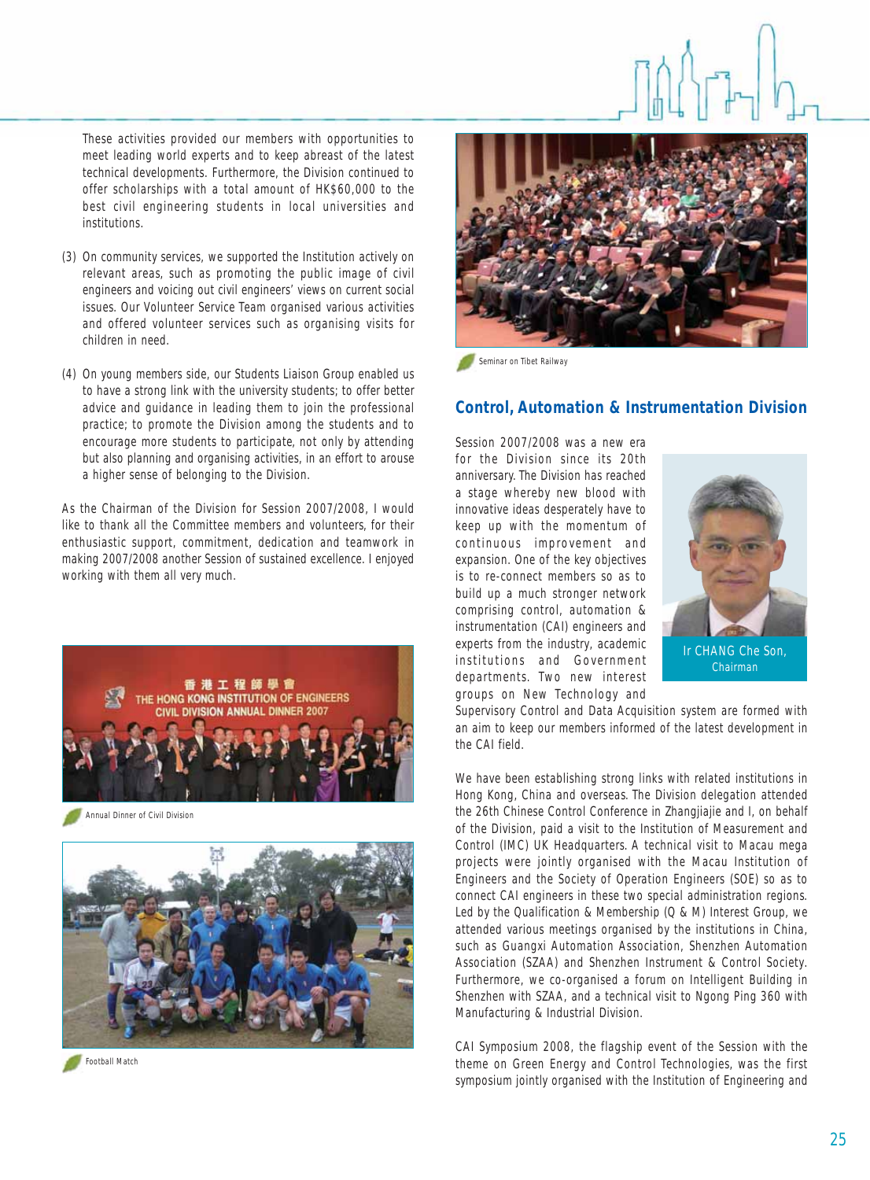These activities provided our members with opportunities to meet leading world experts and to keep abreast of the latest technical developments. Furthermore, the Division continued to offer scholarships with a total amount of HK\$60,000 to the best civil engineering students in local universities and institutions.

- (3) On community services, we supported the Institution actively on relevant areas, such as promoting the public image of civil engineers and voicing out civil engineers' views on current social issues. Our Volunteer Service Team organised various activities and offered volunteer services such as organising visits for children in need.
- (4) On young members side, our Students Liaison Group enabled us to have a strong link with the university students; to offer better advice and guidance in leading them to join the professional practice; to promote the Division among the students and to encourage more students to participate, not only by attending but also planning and organising activities, in an effort to arouse a higher sense of belonging to the Division.

As the Chairman of the Division for Session 2007/2008, I would like to thank all the Committee members and volunteers, for their enthusiastic support, commitment, dedication and teamwork in making 2007/2008 another Session of sustained excellence. I enjoyed working with them all very much.



Annual Dinner of Civil Division







Seminar on Tibet Railway

#### **Control, Automation & Instrumentation Division**

Session 2007/2008 was a new era for the Division since its 20th anniversary. The Division has reached a stage whereby new blood with innovative ideas desperately have to keep up with the momentum of continuous improvement and expansion. One of the key objectives is to re-connect members so as to build up a much stronger network comprising control, automation & instrumentation (CAI) engineers and experts from the industry, academic institutions and Government departments. Two new interest groups on New Technology and



Chairman

Supervisory Control and Data Acquisition system are formed with an aim to keep our members informed of the latest development in the CAI field.

We have been establishing strong links with related institutions in Hong Kong, China and overseas. The Division delegation attended the 26th Chinese Control Conference in Zhangjiajie and I, on behalf of the Division, paid a visit to the Institution of Measurement and Control (IMC) UK Headquarters. A technical visit to Macau mega projects were jointly organised with the Macau Institution of Engineers and the Society of Operation Engineers (SOE) so as to connect CAI engineers in these two special administration regions. Led by the Qualification & Membership (Q & M) Interest Group, we attended various meetings organised by the institutions in China, such as Guangxi Automation Association, Shenzhen Automation Association (SZAA) and Shenzhen Instrument & Control Society. Furthermore, we co-organised a forum on Intelligent Building in Shenzhen with SZAA, and a technical visit to Ngong Ping 360 with Manufacturing & Industrial Division.

CAI Symposium 2008, the flagship event of the Session with the theme on Green Energy and Control Technologies, was the first symposium jointly organised with the Institution of Engineering and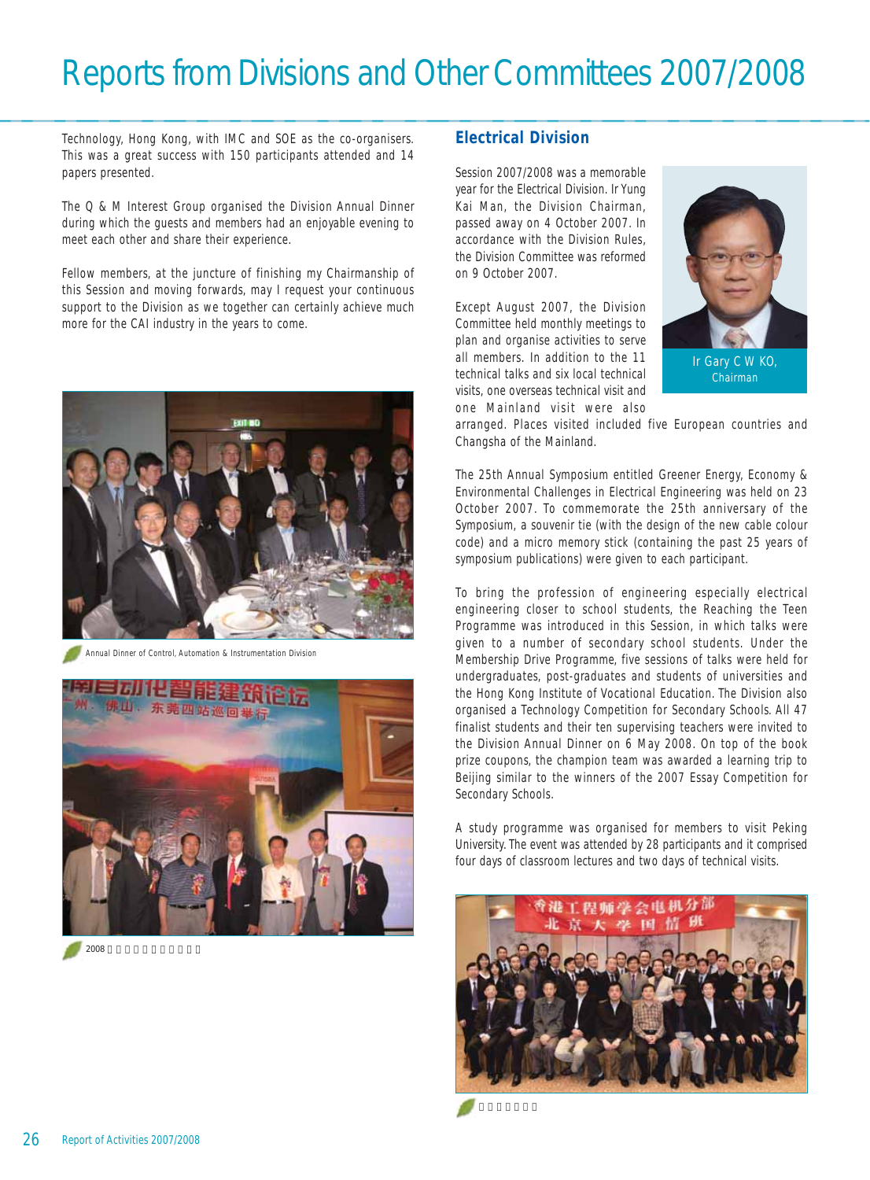Technology, Hong Kong, with IMC and SOE as the co-organisers. This was a great success with 150 participants attended and 14 papers presented.

The Q & M Interest Group organised the Division Annual Dinner during which the guests and members had an enjoyable evening to meet each other and share their experience.

Fellow members, at the juncture of finishing my Chairmanship of this Session and moving forwards, may I request your continuous support to the Division as we together can certainly achieve much more for the CAI industry in the years to come.



Annual Dinner of Control, Automation & Instrumentation Division



 $2008$   $\blacksquare$ 

## **Electrical Division**

Session 2007/2008 was a memorable year for the Electrical Division. Ir Yung Kai Man, the Division Chairman, passed away on 4 October 2007. In accordance with the Division Rules, the Division Committee was reformed on 9 October 2007.

Except August 2007, the Division Committee held monthly meetings to plan and organise activities to serve all members. In addition to the 11 technical talks and six local technical visits, one overseas technical visit and one Mainland visit were also



Chairman

arranged. Places visited included five European countries and Changsha of the Mainland.

The 25th Annual Symposium entitled Greener Energy, Economy & Environmental Challenges in Electrical Engineering was held on 23 October 2007. To commemorate the 25th anniversary of the Symposium, a souvenir tie (with the design of the new cable colour code) and a micro memory stick (containing the past 25 years of symposium publications) were given to each participant.

To bring the profession of engineering especially electrical engineering closer to school students, the Reaching the Teen Programme was introduced in this Session, in which talks were given to a number of secondary school students. Under the Membership Drive Programme, five sessions of talks were held for undergraduates, post-graduates and students of universities and the Hong Kong Institute of Vocational Education. The Division also organised a Technology Competition for Secondary Schools. All 47 finalist students and their ten supervising teachers were invited to the Division Annual Dinner on 6 May 2008. On top of the book prize coupons, the champion team was awarded a learning trip to Beijing similar to the winners of the 2007 Essay Competition for Secondary Schools.

A study programme was organised for members to visit Peking University. The event was attended by 28 participants and it comprised four days of classroom lectures and two days of technical visits.

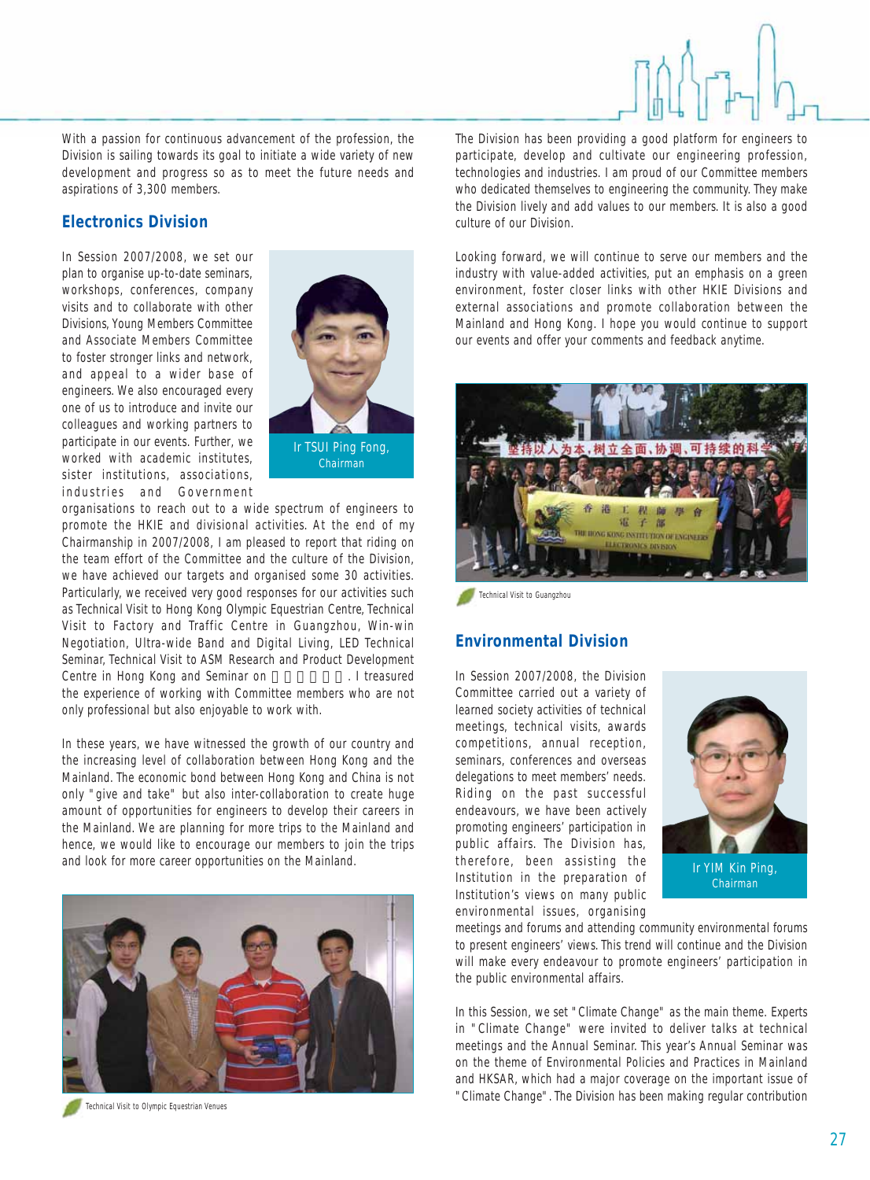With a passion for continuous advancement of the profession, the Division is sailing towards its goal to initiate a wide variety of new development and progress so as to meet the future needs and aspirations of 3,300 members.

# **Electronics Division**

In Session 2007/2008, we set our plan to organise up-to-date seminars, workshops, conferences, company visits and to collaborate with other Divisions, Young Members Committee and Associate Members Committee to foster stronger links and network, and appeal to a wider base of engineers. We also encouraged every one of us to introduce and invite our colleagues and working partners to participate in our events. Further, we worked with academic institutes, sister institutions, associations, industries and Government



organisations to reach out to a wide spectrum of engineers to promote the HKIE and divisional activities. At the end of my Chairmanship in 2007/2008, I am pleased to report that riding on the team effort of the Committee and the culture of the Division, we have achieved our targets and organised some 30 activities. Particularly, we received very good responses for our activities such as Technical Visit to Hong Kong Olympic Equestrian Centre, Technical Visit to Factory and Traffic Centre in Guangzhou, Win-win Negotiation, Ultra-wide Band and Digital Living, LED Technical Seminar, Technical Visit to ASM Research and Product Development Centre in Hong Kong and Seminar on Fig. 1 treasured the experience of working with Committee members who are not only professional but also enjoyable to work with.

In these years, we have witnessed the growth of our country and the increasing level of collaboration between Hong Kong and the Mainland. The economic bond between Hong Kong and China is not only "give and take" but also inter-collaboration to create huge amount of opportunities for engineers to develop their careers in the Mainland. We are planning for more trips to the Mainland and hence, we would like to encourage our members to join the trips and look for more career opportunities on the Mainland.





The Division has been providing a good platform for engineers to participate, develop and cultivate our engineering profession, technologies and industries. I am proud of our Committee members who dedicated themselves to engineering the community. They make the Division lively and add values to our members. It is also a good culture of our Division.

Looking forward, we will continue to serve our members and the industry with value-added activities, put an emphasis on a green environment, foster closer links with other HKIE Divisions and external associations and promote collaboration between the Mainland and Hong Kong. I hope you would continue to support our events and offer your comments and feedback anytime.



Technical Visit to Guangzhou

#### **Environmental Division**

In Session 2007/2008, the Division Committee carried out a variety of learned society activities of technical meetings, technical visits, awards competitions, annual reception, seminars, conferences and overseas delegations to meet members' needs. Riding on the past successful endeavours, we have been actively promoting engineers' participation in public affairs. The Division has, therefore, been assisting the Institution in the preparation of Institution's views on many public environmental issues, organising



Ir YIM Kin Ping, Chairman

meetings and forums and attending community environmental forums to present engineers' views. This trend will continue and the Division will make every endeavour to promote engineers' participation in the public environmental affairs.

In this Session, we set "Climate Change" as the main theme. Experts in "Climate Change" were invited to deliver talks at technical meetings and the Annual Seminar. This year's Annual Seminar was on the theme of Environmental Policies and Practices in Mainland and HKSAR, which had a major coverage on the important issue of "Climate Change". The Division has been making regular contribution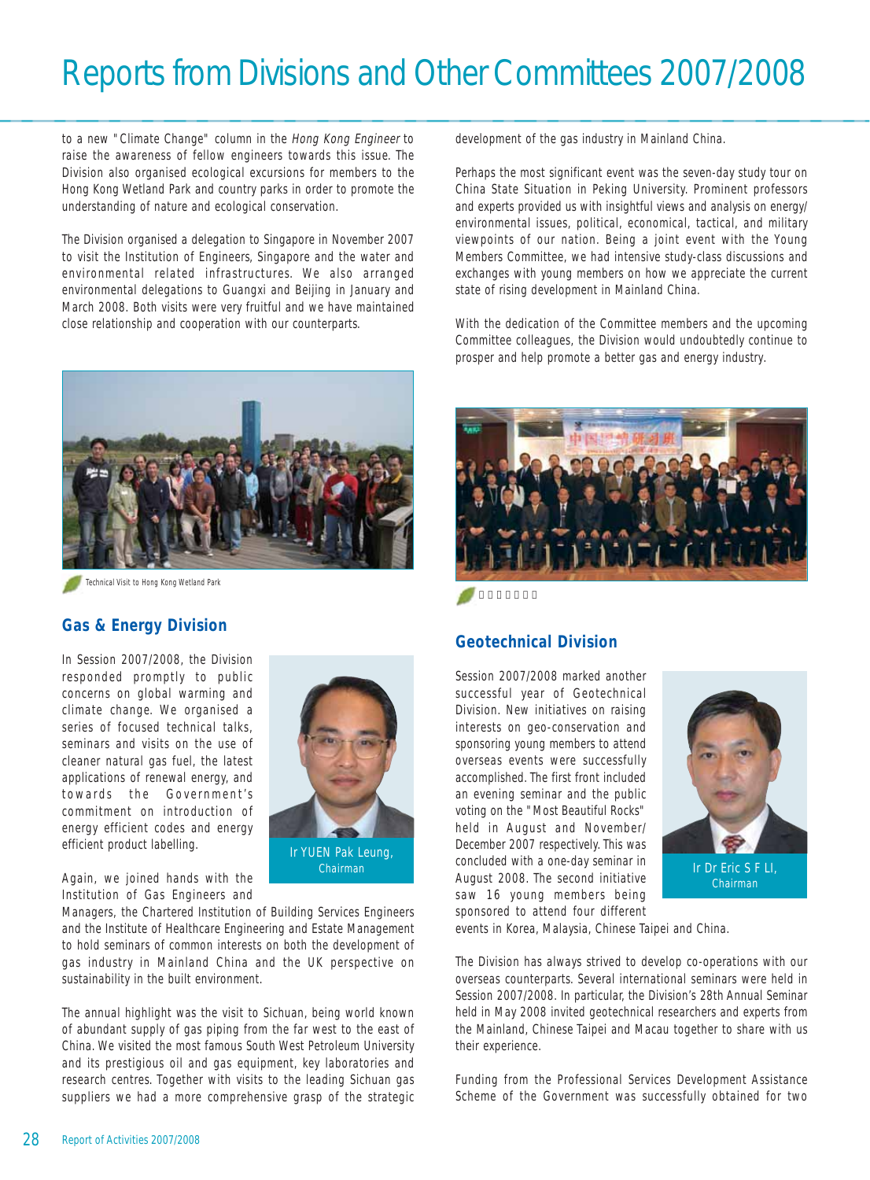to a new "Climate Change" column in the Hong Kong Engineer to raise the awareness of fellow engineers towards this issue. The Division also organised ecological excursions for members to the Hong Kong Wetland Park and country parks in order to promote the understanding of nature and ecological conservation.

The Division organised a delegation to Singapore in November 2007 to visit the Institution of Engineers, Singapore and the water and environmental related infrastructures. We also arranged environmental delegations to Guangxi and Beijing in January and March 2008. Both visits were very fruitful and we have maintained close relationship and cooperation with our counterparts.



Technical Visit to Hong Kong Wetland Park

#### **Gas & Energy Division**

In Session 2007/2008, the Division responded promptly to public concerns on global warming and climate change. We organised a series of focused technical talks, seminars and visits on the use of cleaner natural gas fuel, the latest applications of renewal energy, and towards the Government's commitment on introduction of energy efficient codes and energy efficient product labelling.



Again, we joined hands with the Institution of Gas Engineers and

Managers, the Chartered Institution of Building Services Engineers and the Institute of Healthcare Engineering and Estate Management to hold seminars of common interests on both the development of gas industry in Mainland China and the UK perspective on sustainability in the built environment.

The annual highlight was the visit to Sichuan, being world known of abundant supply of gas piping from the far west to the east of China. We visited the most famous South West Petroleum University and its prestigious oil and gas equipment, key laboratories and research centres. Together with visits to the leading Sichuan gas suppliers we had a more comprehensive grasp of the strategic development of the gas industry in Mainland China.

Perhaps the most significant event was the seven-day study tour on China State Situation in Peking University. Prominent professors and experts provided us with insightful views and analysis on energy/ environmental issues, political, economical, tactical, and military viewpoints of our nation. Being a joint event with the Young Members Committee, we had intensive study-class discussions and exchanges with young members on how we appreciate the current state of rising development in Mainland China.

With the dedication of the Committee members and the upcoming Committee colleagues, the Division would undoubtedly continue to prosper and help promote a better gas and energy industry.



#### **Geotechnical Division**

Session 2007/2008 marked another successful year of Geotechnical Division. New initiatives on raising interests on geo-conservation and sponsoring young members to attend overseas events were successfully accomplished. The first front included an evening seminar and the public voting on the "Most Beautiful Rocks" held in August and November/ December 2007 respectively. This was concluded with a one-day seminar in Chairman **Ir Dr Eric S F LI,** Concided with a one-uay seminar in Tr Dr Eric S F LI, Chairman II saw 16 young members being sponsored to attend four different



Chairman

events in Korea, Malaysia, Chinese Taipei and China.

The Division has always strived to develop co-operations with our overseas counterparts. Several international seminars were held in Session 2007/2008. In particular, the Division's 28th Annual Seminar held in May 2008 invited geotechnical researchers and experts from the Mainland, Chinese Taipei and Macau together to share with us their experience.

Funding from the Professional Services Development Assistance Scheme of the Government was successfully obtained for two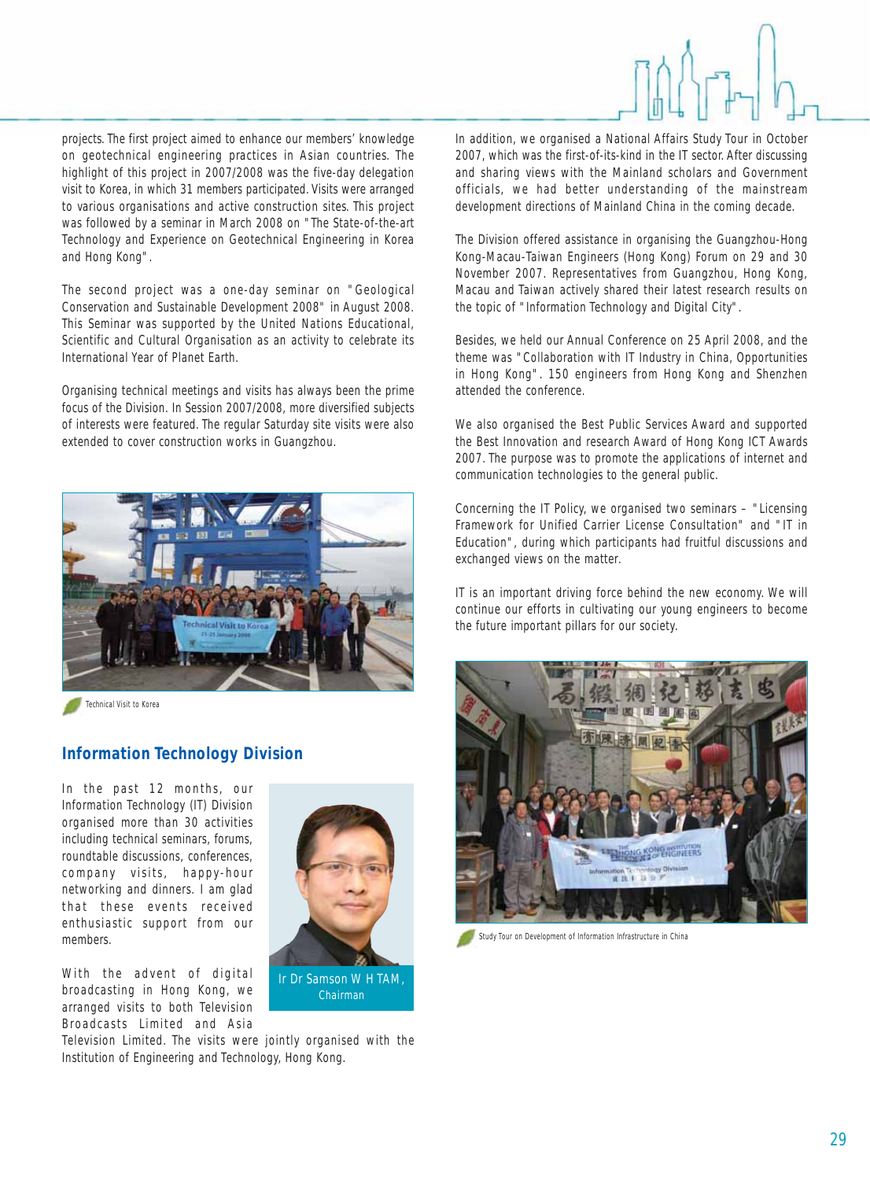projects. The first project aimed to enhance our members' knowledge on geotechnical engineering practices in Asian countries. The highlight of this project in 2007/2008 was the five-day delegation visit to Korea, in which 31 members participated. Visits were arranged to various organisations and active construction sites. This project was followed by a seminar in March 2008 on "The State-of-the-art Technology and Experience on Geotechnical Engineering in Korea and Hong Kong".

The second project was a one-day seminar on "Geological Conservation and Sustainable Development 2008" in August 2008. This Seminar was supported by the United Nations Educational, Scientific and Cultural Organisation as an activity to celebrate its International Year of Planet Earth.

Organising technical meetings and visits has always been the prime focus of the Division. In Session 2007/2008, more diversified subjects of interests were featured. The regular Saturday site visits were also extended to cover construction works in Guangzhou.



Technical Visit to Korea

## **Information Technology Division**

In the past 12 months, our Information Technology (IT) Division organised more than 30 activities including technical seminars, forums, roundtable discussions, conferences, company visits, happy-hour networking and dinners. I am glad that these events received enthusiastic support from our members.

With the advent of digital broadcasting in Hong Kong, we arranged visits to both Television Broadcasts Limited and Asia



Ir Dr Samson W H TAM, Chairman

In addition, we organised a National Affairs Study Tour in October 2007, which was the first-of-its-kind in the IT sector. After discussing and sharing views with the Mainland scholars and Government officials, we had better understanding of the mainstream development directions of Mainland China in the coming decade.

The Division offered assistance in organising the Guangzhou-Hong Kong-Macau-Taiwan Engineers (Hong Kong) Forum on 29 and 30 November 2007. Representatives from Guangzhou, Hong Kong, Macau and Taiwan actively shared their latest research results on the topic of "Information Technology and Digital City".

Besides, we held our Annual Conference on 25 April 2008, and the theme was "Collaboration with IT Industry in China, Opportunities in Hong Kong". 150 engineers from Hong Kong and Shenzhen attended the conference.

We also organised the Best Public Services Award and supported the Best Innovation and research Award of Hong Kong ICT Awards 2007. The purpose was to promote the applications of internet and communication technologies to the general public.

Concerning the IT Policy, we organised two seminars – "Licensing Framework for Unified Carrier License Consultation" and "IT in Education", during which participants had fruitful discussions and exchanged views on the matter.

IT is an important driving force behind the new economy. We will continue our efforts in cultivating our young engineers to become the future important pillars for our society.



Study Tour on Development of Information Infrastructure in China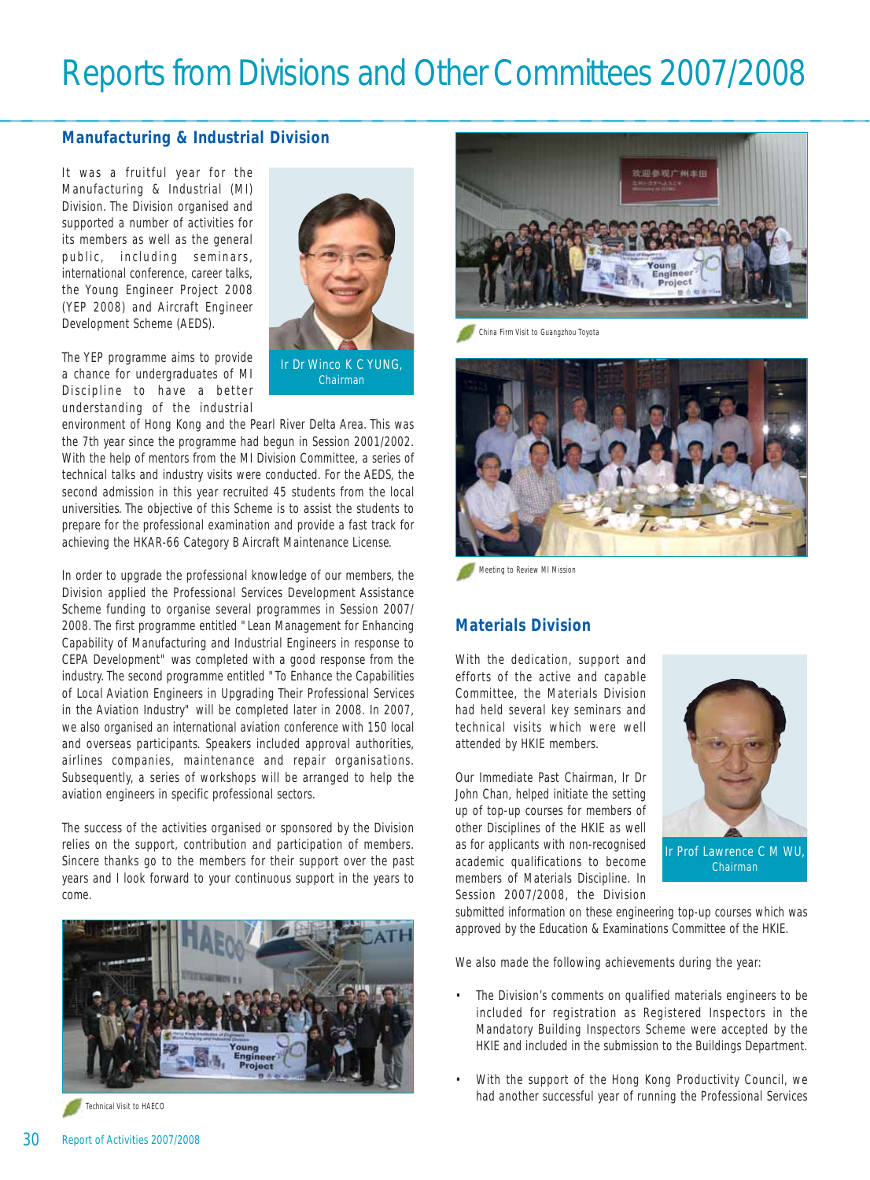### **Manufacturing & Industrial Division**

It was a fruitful year for the Manufacturing & Industrial (MI) Division. The Division organised and supported a number of activities for its members as well as the general public, including seminars, international conference, career talks, the Young Engineer Project 2008 (YEP 2008) and Aircraft Engineer Development Scheme (AEDS).

The YEP programme aims to provide a chance for undergraduates of MI Discipline to have a better understanding of the industrial



Chairman

environment of Hong Kong and the Pearl River Delta Area. This was the 7th year since the programme had begun in Session 2001/2002. With the help of mentors from the MI Division Committee, a series of technical talks and industry visits were conducted. For the AEDS, the second admission in this year recruited 45 students from the local universities. The objective of this Scheme is to assist the students to prepare for the professional examination and provide a fast track for achieving the HKAR-66 Category B Aircraft Maintenance License.

In order to upgrade the professional knowledge of our members, the Division applied the Professional Services Development Assistance Scheme funding to organise several programmes in Session 2007/ 2008. The first programme entitled "Lean Management for Enhancing Capability of Manufacturing and Industrial Engineers in response to CEPA Development" was completed with a good response from the industry. The second programme entitled "To Enhance the Capabilities of Local Aviation Engineers in Upgrading Their Professional Services in the Aviation Industry" will be completed later in 2008. In 2007, we also organised an international aviation conference with 150 local and overseas participants. Speakers included approval authorities, airlines companies, maintenance and repair organisations. Subsequently, a series of workshops will be arranged to help the aviation engineers in specific professional sectors.

The success of the activities organised or sponsored by the Division relies on the support, contribution and participation of members. Sincere thanks go to the members for their support over the past years and I look forward to your continuous support in the years to come.





China Firm Visit to Guangzhou Toyota



Meeting to Review MI Mission

#### **Materials Division**

With the dedication, support and efforts of the active and capable Committee, the Materials Division had held several key seminars and technical visits which were well attended by HKIE members.

Our Immediate Past Chairman, Ir Dr John Chan, helped initiate the setting up of top-up courses for members of other Disciplines of the HKIE as well as for applicants with non-recognised academic qualifications to become members of Materials Discipline. In Session 2007/2008, the Division



Chairman

submitted information on these engineering top-up courses which was approved by the Education & Examinations Committee of the HKIE.

We also made the following achievements during the year:

- The Division's comments on qualified materials engineers to be included for registration as Registered Inspectors in the Mandatory Building Inspectors Scheme were accepted by the HKIE and included in the submission to the Buildings Department.
- With the support of the Hong Kong Productivity Council, we Technical Visit to HAECO NAECO NAECO NAECO NAECO NAECO NAECO NAECO NAECO NAECO NAECO NAECO NAECO NAECO NAECO NAECO NAECO NAECO NAECO NAECO NAECO NAECO NAECO NAECO NAECO NAECO NAECO NAECO NAECO NAECO NAECO NAECO NAECO NAECO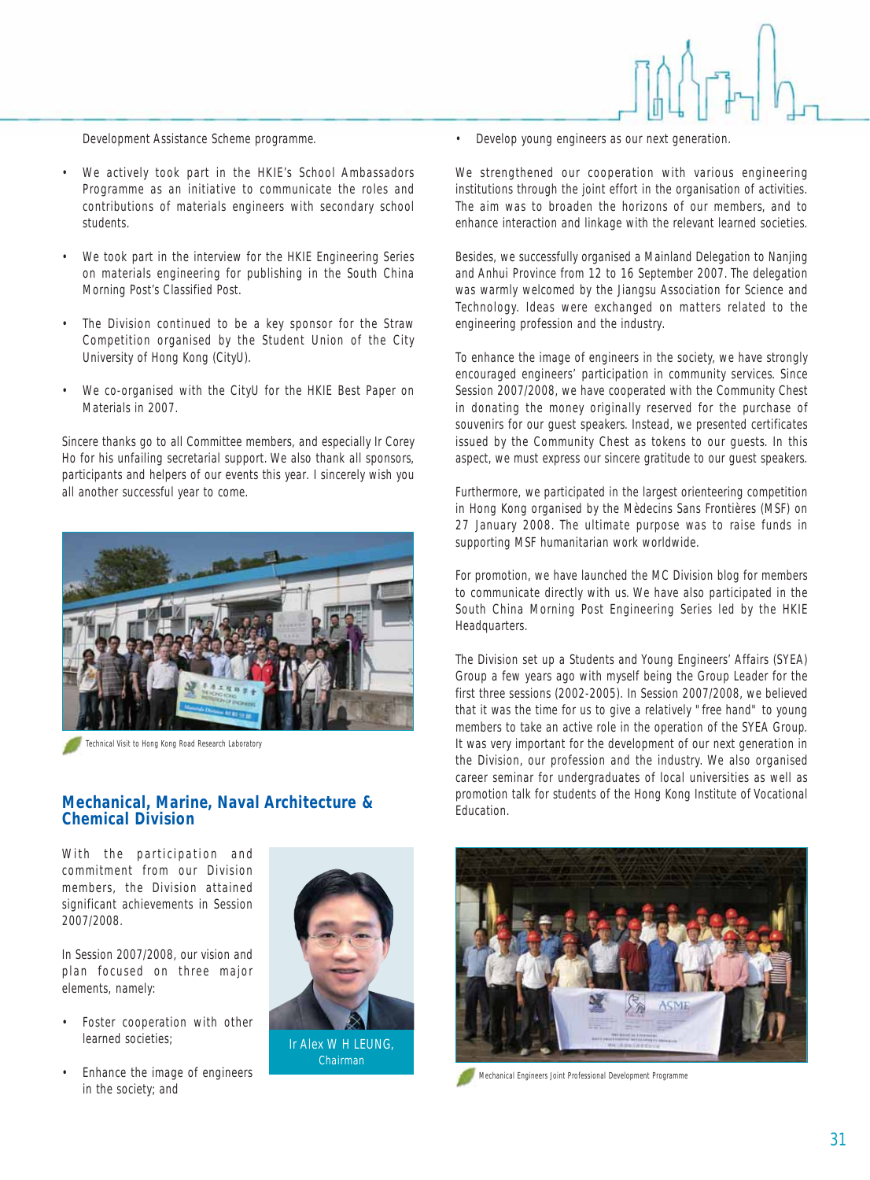Development Assistance Scheme programme.

- We actively took part in the HKIE's School Ambassadors Programme as an initiative to communicate the roles and contributions of materials engineers with secondary school students.
- We took part in the interview for the HKIE Engineering Series on materials engineering for publishing in the South China Morning Post's Classified Post.
- The Division continued to be a key sponsor for the Straw Competition organised by the Student Union of the City University of Hong Kong (CityU).
- We co-organised with the CityU for the HKIE Best Paper on Materials in 2007.

Sincere thanks go to all Committee members, and especially Ir Corey Ho for his unfailing secretarial support. We also thank all sponsors, participants and helpers of our events this year. I sincerely wish you all another successful year to come.



Technical Visit to Hong Kong Road Research Laboratory

#### Education. **Mechanical, Marine, Naval Architecture & Chemical Division**

With the participation and commitment from our Division members, the Division attained significant achievements in Session 2007/2008.

In Session 2007/2008, our vision and plan focused on three major elements, namely:

- Foster cooperation with other learned societies;
- Enhance the image of engineers in the society; and



Ir Alex W H LEUNG, Chairman

• Develop young engineers as our next generation.

We strengthened our cooperation with various engineering institutions through the joint effort in the organisation of activities. The aim was to broaden the horizons of our members, and to enhance interaction and linkage with the relevant learned societies.

Besides, we successfully organised a Mainland Delegation to Nanjing and Anhui Province from 12 to 16 September 2007. The delegation was warmly welcomed by the Jiangsu Association for Science and Technology. Ideas were exchanged on matters related to the engineering profession and the industry.

To enhance the image of engineers in the society, we have strongly encouraged engineers' participation in community services. Since Session 2007/2008, we have cooperated with the Community Chest in donating the money originally reserved for the purchase of souvenirs for our guest speakers. Instead, we presented certificates issued by the Community Chest as tokens to our guests. In this aspect, we must express our sincere gratitude to our guest speakers.

Furthermore, we participated in the largest orienteering competition in Hong Kong organised by the Mèdecins Sans Frontières (MSF) on 27 January 2008. The ultimate purpose was to raise funds in supporting MSF humanitarian work worldwide.

For promotion, we have launched the MC Division blog for members to communicate directly with us. We have also participated in the South China Morning Post Engineering Series led by the HKIE Headquarters.

The Division set up a Students and Young Engineers' Affairs (SYEA) Group a few years ago with myself being the Group Leader for the first three sessions (2002-2005). In Session 2007/2008, we believed that it was the time for us to give a relatively "free hand" to young members to take an active role in the operation of the SYEA Group. It was very important for the development of our next generation in the Division, our profession and the industry. We also organised career seminar for undergraduates of local universities as well as promotion talk for students of the Hong Kong Institute of Vocational



Mechanical Engineers Joint Professional Development Programme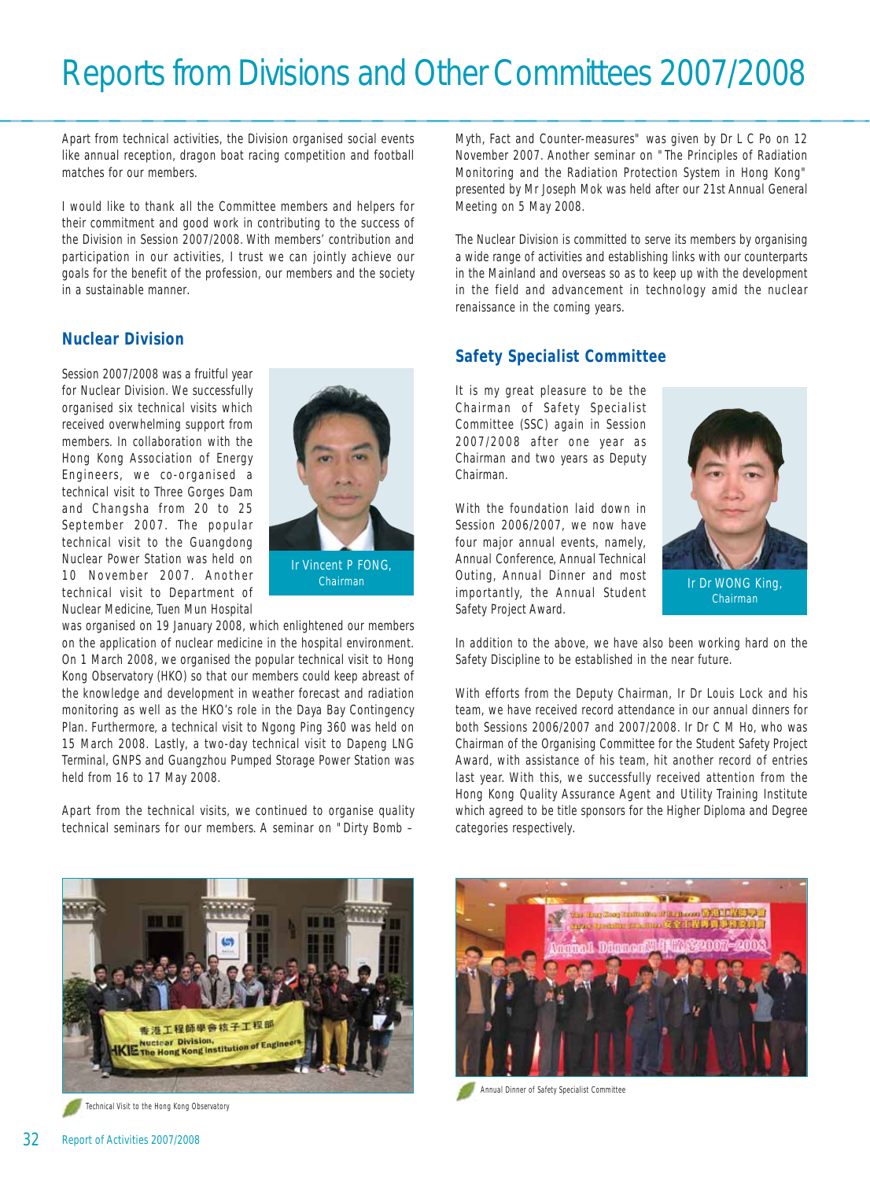Apart from technical activities, the Division organised social events like annual reception, dragon boat racing competition and football matches for our members.

I would like to thank all the Committee members and helpers for their commitment and good work in contributing to the success of the Division in Session 2007/2008. With members' contribution and participation in our activities, I trust we can jointly achieve our goals for the benefit of the profession, our members and the society in a sustainable manner.

## **Nuclear Division**

Session 2007/2008 was a fruitful year for Nuclear Division. We successfully organised six technical visits which received overwhelming support from members. In collaboration with the Hong Kong Association of Energy Engineers, we co-organised a technical visit to Three Gorges Dam and Changsha from 20 to 25 September 2007. The popular technical visit to the Guangdong Nuclear Power Station was held on 10 November 2007. Another technical visit to Department of Nuclear Medicine, Tuen Mun Hospital



was organised on 19 January 2008, which enlightened our members on the application of nuclear medicine in the hospital environment. On 1 March 2008, we organised the popular technical visit to Hong Kong Observatory (HKO) so that our members could keep abreast of the knowledge and development in weather forecast and radiation monitoring as well as the HKO's role in the Daya Bay Contingency Plan. Furthermore, a technical visit to Ngong Ping 360 was held on 15 March 2008. Lastly, a two-day technical visit to Dapeng LNG Terminal, GNPS and Guangzhou Pumped Storage Power Station was held from 16 to 17 May 2008.

Apart from the technical visits, we continued to organise quality technical seminars for our members. A seminar on "Dirty Bomb –

Myth, Fact and Counter-measures" was given by Dr L C Po on 12 November 2007. Another seminar on "The Principles of Radiation Monitoring and the Radiation Protection System in Hong Kong" presented by Mr Joseph Mok was held after our 21st Annual General Meeting on 5 May 2008.

The Nuclear Division is committed to serve its members by organising a wide range of activities and establishing links with our counterparts in the Mainland and overseas so as to keep up with the development in the field and advancement in technology amid the nuclear renaissance in the coming years.

## **Safety Specialist Committee**

It is my great pleasure to be the Chairman of Safety Specialist Committee (SSC) again in Session 2007/2008 after one year as Chairman and two years as Deputy Chairman.

With the foundation laid down in Session 2006/2007, we now have four major annual events, namely, Annual Conference, Annual Technical Outing, Annual Dinner and most importantly, the Annual Student Safety Project Award. Chairman **IR Dr WONG King, Annual Dinner and most I**r Dr WONG King,



In addition to the above, we have also been working hard on the Safety Discipline to be established in the near future.

With efforts from the Deputy Chairman, Ir Dr Louis Lock and his team, we have received record attendance in our annual dinners for both Sessions 2006/2007 and 2007/2008. Ir Dr C M Ho, who was Chairman of the Organising Committee for the Student Safety Project Award, with assistance of his team, hit another record of entries last year. With this, we successfully received attention from the Hong Kong Quality Assurance Agent and Utility Training Institute which agreed to be title sponsors for the Higher Diploma and Degree categories respectively.



Technical Visit to the Hong Kong Observatory



Annual Dinner of Safety Specialist Committee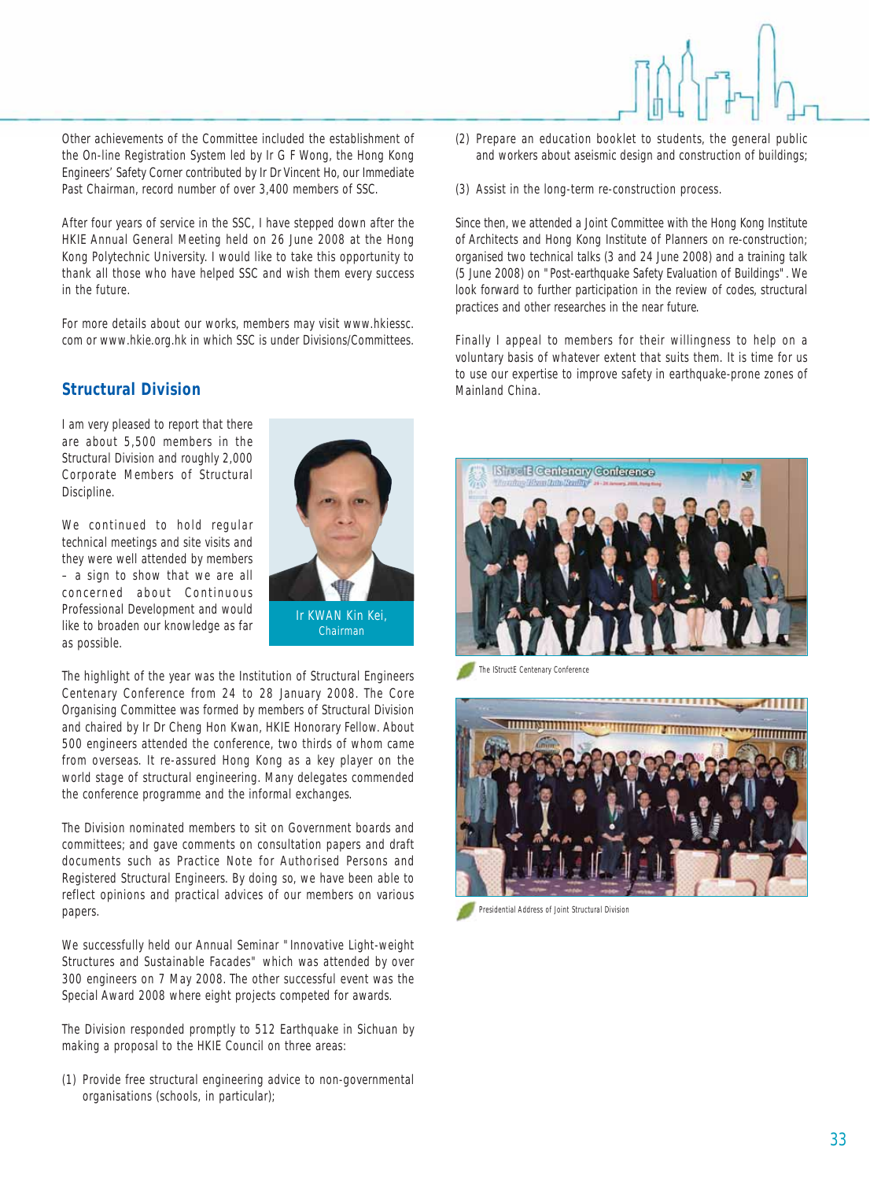Other achievements of the Committee included the establishment of the On-line Registration System led by Ir G F Wong, the Hong Kong Engineers' Safety Corner contributed by Ir Dr Vincent Ho, our Immediate Past Chairman, record number of over 3,400 members of SSC.

After four years of service in the SSC, I have stepped down after the HKIE Annual General Meeting held on 26 June 2008 at the Hong Kong Polytechnic University. I would like to take this opportunity to thank all those who have helped SSC and wish them every success in the future.

For more details about our works, members may visit www.hkiessc. com or www.hkie.org.hk in which SSC is under Divisions/Committees.

#### **Structural Division**

I am very pleased to report that there are about 5,500 members in the Structural Division and roughly 2,000 Corporate Members of Structural Discipline.

We continued to hold regular technical meetings and site visits and they were well attended by members – a sign to show that we are all concerned about Continuous Professional Development and would like to broaden our knowledge as far as possible.



The highlight of the year was the Institution of Structural Engineers Centenary Conference from 24 to 28 January 2008. The Core Organising Committee was formed by members of Structural Division and chaired by Ir Dr Cheng Hon Kwan, HKIE Honorary Fellow. About 500 engineers attended the conference, two thirds of whom came from overseas. It re-assured Hong Kong as a key player on the world stage of structural engineering. Many delegates commended the conference programme and the informal exchanges.

The Division nominated members to sit on Government boards and committees; and gave comments on consultation papers and draft documents such as Practice Note for Authorised Persons and Registered Structural Engineers. By doing so, we have been able to reflect opinions and practical advices of our members on various papers.

We successfully held our Annual Seminar "Innovative Light-weight Structures and Sustainable Facades" which was attended by over 300 engineers on 7 May 2008. The other successful event was the Special Award 2008 where eight projects competed for awards.

The Division responded promptly to 512 Earthquake in Sichuan by making a proposal to the HKIE Council on three areas:

(1) Provide free structural engineering advice to non-governmental organisations (schools, in particular);

- (2) Prepare an education booklet to students, the general public and workers about aseismic design and construction of buildings;
- (3) Assist in the long-term re-construction process.

Since then, we attended a Joint Committee with the Hong Kong Institute of Architects and Hong Kong Institute of Planners on re-construction; organised two technical talks (3 and 24 June 2008) and a training talk (5 June 2008) on "Post-earthquake Safety Evaluation of Buildings". We look forward to further participation in the review of codes, structural practices and other researches in the near future.

Finally I appeal to members for their willingness to help on a voluntary basis of whatever extent that suits them. It is time for us to use our expertise to improve safety in earthquake-prone zones of Mainland China.



The IStructE Centenary Conference



Presidential Address of Joint Structural Division